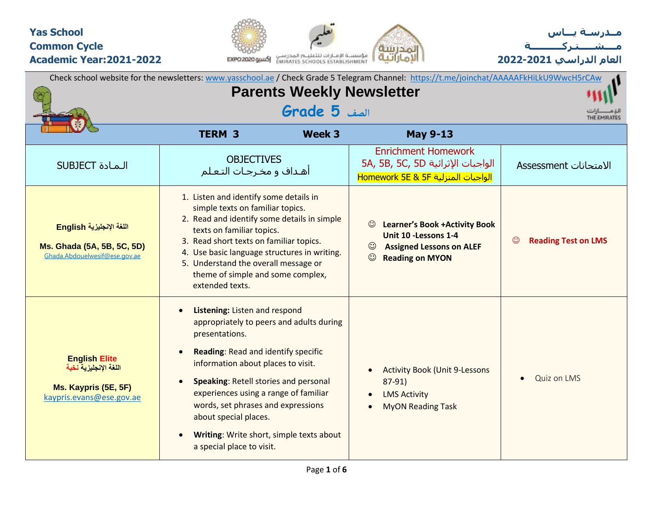## **Yas School Common Cycle Academic Year:2021-2022**





**العام الدراسي 2022-2021**

|                                                                                                   |                                                                                                                                                                                                                                                                                                                                                                                                           |                                  | Check school website for the newsletters: www.yasschool.ae / Check Grade 5 Telegram Channel: https://t.me/joinchat/AAAAAFkHiLkU9WwcH5rCAw                      |                                       |
|---------------------------------------------------------------------------------------------------|-----------------------------------------------------------------------------------------------------------------------------------------------------------------------------------------------------------------------------------------------------------------------------------------------------------------------------------------------------------------------------------------------------------|----------------------------------|----------------------------------------------------------------------------------------------------------------------------------------------------------------|---------------------------------------|
|                                                                                                   |                                                                                                                                                                                                                                                                                                                                                                                                           | <b>Parents Weekly Newsletter</b> |                                                                                                                                                                |                                       |
|                                                                                                   |                                                                                                                                                                                                                                                                                                                                                                                                           | الصف <b>5 Grade</b>              |                                                                                                                                                                | THE EMIRATES                          |
|                                                                                                   | <b>TERM 3</b>                                                                                                                                                                                                                                                                                                                                                                                             | Week 3                           | <b>May 9-13</b>                                                                                                                                                |                                       |
| <b>SUBJECT</b> المادة                                                                             | <b>OBJECTIVES</b><br>أهـداف و مخـرجـات التـعـلم                                                                                                                                                                                                                                                                                                                                                           |                                  | <b>Enrichment Homework</b><br>5A, 5B, 5C, 5D الواجبات الإثرائية<br>الواجبات المنزلية Homework 5E & 5F                                                          | الامتحانات Assessment                 |
| اللغة الإنجليزية English<br>Ms. Ghada (5A, 5B, 5C, 5D)<br>Ghada.Abdouelwesif@ese.gov.ae           | 1. Listen and identify some details in<br>simple texts on familiar topics.<br>2. Read and identify some details in simple<br>texts on familiar topics.<br>3. Read short texts on familiar topics.<br>4. Use basic language structures in writing.<br>5. Understand the overall message or<br>theme of simple and some complex,<br>extended texts.                                                         |                                  | $_{\odot}$<br><b>Learner's Book +Activity Book</b><br>Unit 10 - Lessons 1-4<br>$\odot$<br><b>Assigned Lessons on ALEF</b><br>$\odot$<br><b>Reading on MYON</b> | $\odot$<br><b>Reading Test on LMS</b> |
| <b>English Elite</b><br>اللغة الإنجليزية نخبة<br>Ms. Kaypris (5E, 5F)<br>kaypris.evans@ese.gov.ae | Listening: Listen and respond<br>appropriately to peers and adults during<br>presentations.<br>Reading: Read and identify specific<br>information about places to visit.<br><b>Speaking: Retell stories and personal</b><br>experiences using a range of familiar<br>words, set phrases and expressions<br>about special places.<br>Writing: Write short, simple texts about<br>a special place to visit. |                                  | <b>Activity Book (Unit 9-Lessons</b><br>$\bullet$<br>87-91)<br><b>LMS Activity</b><br>$\bullet$<br><b>MyON Reading Task</b><br>$\bullet$                       | <b>Quiz on LMS</b><br>$\bullet$       |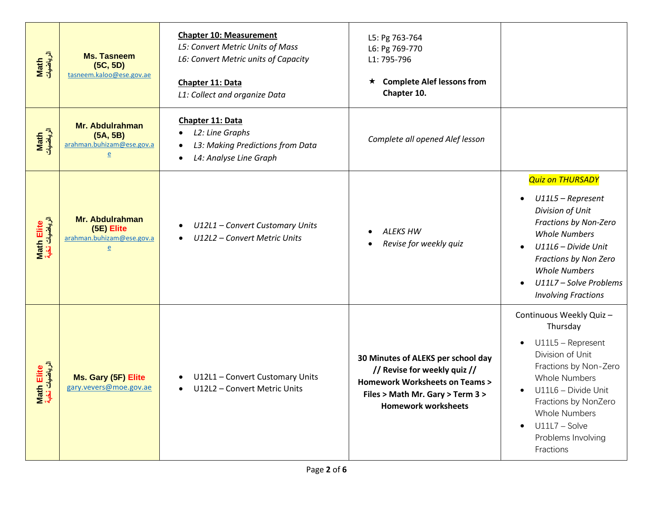| Math<br>الرياضيات                        | <b>Ms. Tasneem</b><br>(5C, 5D)<br>tasneem.kaloo@ese.gov.ae                        | <b>Chapter 10: Measurement</b><br>L5: Convert Metric Units of Mass<br>L6: Convert Metric units of Capacity<br>Chapter 11: Data<br>L1: Collect and organize Data | L5: Pg 763-764<br>L6: Pg 769-770<br>L1: 795-796<br><b>Complete Alef lessons from</b><br>$\star$<br>Chapter 10.                                                                   |                                                                                                                                                                                                                                                                                       |
|------------------------------------------|-----------------------------------------------------------------------------------|-----------------------------------------------------------------------------------------------------------------------------------------------------------------|----------------------------------------------------------------------------------------------------------------------------------------------------------------------------------|---------------------------------------------------------------------------------------------------------------------------------------------------------------------------------------------------------------------------------------------------------------------------------------|
| Math<br>الرياضيات                        | <b>Mr. Abdulrahman</b><br>(5A, 5B)<br>arahman.buhizam@ese.gov.a                   | Chapter 11: Data<br>L2: Line Graphs<br>٠<br>L3: Making Predictions from Data<br>$\bullet$<br>L4: Analyse Line Graph<br>$\bullet$                                | Complete all opened Alef lesson                                                                                                                                                  |                                                                                                                                                                                                                                                                                       |
| Math Elite<br>الرياضيات نخب <sup>ة</sup> | <b>Mr. Abdulrahman</b><br>(5E) Elite<br>arahman.buhizam@ese.gov.a<br>$\mathbf{e}$ | U12L1 - Convert Customary Units<br>U12L2 - Convert Metric Units<br>$\bullet$                                                                                    | <b>ALEKS HW</b><br>Revise for weekly quiz                                                                                                                                        | <b>Quiz on THURSADY</b><br>U11L5 - Represent<br>Division of Unit<br>Fractions by Non-Zero<br><b>Whole Numbers</b><br>U11L6 - Divide Unit<br>$\bullet$<br>Fractions by Non Zero<br><b>Whole Numbers</b><br>U11L7 - Solve Problems<br>$\bullet$<br><b>Involving Fractions</b>           |
| الرياضيات<br>Elite<br>£<br>$\frac{1}{2}$ | Ms. Gary (5F) Elite<br>gary.vevers@moe.gov.ae                                     | U12L1 - Convert Customary Units<br>$\bullet$<br>U12L2 - Convert Metric Units<br>$\bullet$                                                                       | 30 Minutes of ALEKS per school day<br>// Revise for weekly quiz //<br><b>Homework Worksheets on Teams &gt;</b><br>Files > Math Mr. Gary > Term 3 ><br><b>Homework worksheets</b> | Continuous Weekly Quiz -<br>Thursday<br>U11L5 - Represent<br>$\bullet$<br>Division of Unit<br>Fractions by Non-Zero<br><b>Whole Numbers</b><br>U11L6 - Divide Unit<br>Fractions by NonZero<br><b>Whole Numbers</b><br>$U11L7 - Solve$<br>$\bullet$<br>Problems Involving<br>Fractions |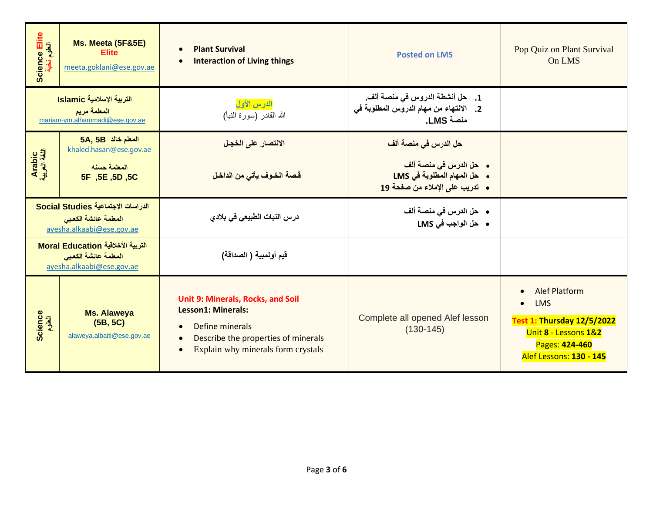| Science Elite<br>العلوم نخبة | Ms. Meeta (5F&5E)<br><b>Elite</b><br>meeta.goklani@ese.gov.ae                           | <b>Plant Survival</b><br>$\bullet$<br><b>Interaction of Living things</b><br>$\bullet$                                                                                                                | <b>Posted on LMS</b>                                                                    | Pop Quiz on Plant Survival<br>On LMS                                                                                                         |
|------------------------------|-----------------------------------------------------------------------------------------|-------------------------------------------------------------------------------------------------------------------------------------------------------------------------------------------------------|-----------------------------------------------------------------------------------------|----------------------------------------------------------------------------------------------------------------------------------------------|
|                              | التربية الإسلامية Islamic<br>المعلمة مريم<br>mariam-ym.alhammadi@ese.gov.ae             | الدرس الأول<br>الله القادر (سورة النبأ)                                                                                                                                                               | 1. حل أنشطة الدروس في منصة ألف.<br>2. الانتهاء من مهام الدروس المطلوبة في<br>منصة LMS.  |                                                                                                                                              |
|                              | 5A, 5B المعلم خالد<br>khaled.hasan@ese.gov.ae                                           | الانتصار على الخجل                                                                                                                                                                                    | <mark>حل الدرس في منصة ألف</mark>                                                       |                                                                                                                                              |
| Arabic<br>اللغة العربية      | المعلمة حسنه<br>5F ,5E ,5D ,5C                                                          | قصة الخوف يأتى من الداخل                                                                                                                                                                              | • حل الدرس في منصة ألف<br>• حل المهام المطلوبة في LMS<br>• تدريب على الإملاء من صفحة 19 |                                                                                                                                              |
|                              | الدراسات الاجتماعية Social Studies<br>المعلمة عائشة الكعبي<br>ayesha.alkaabi@ese.gov.ae | درس النبات الطبيعي في بلادي                                                                                                                                                                           | •    حل الدرس في منصة ألف<br>• حل الواجب في LMS                                         |                                                                                                                                              |
|                              | التربية الأخلاقية Moral Education<br>المعلمة عائشة الكعبي<br>ayesha.alkaabi@ese.gov.ae  | قيم أولمبية ( الصداقة)                                                                                                                                                                                |                                                                                         |                                                                                                                                              |
| Science<br>العلوم            | <b>Ms. Alaweya</b><br>(5B, 5C)<br>alaweya.albaiti@ese.gov.ae                            | Unit 9: Minerals, Rocks, and Soil<br><b>Lesson1: Minerals:</b><br>Define minerals<br>$\bullet$<br>Describe the properties of minerals<br>$\bullet$<br>Explain why minerals form crystals<br>$\bullet$ | Complete all opened Alef lesson<br>$(130-145)$                                          | <b>Alef Platform</b><br><b>LMS</b><br><b>Test 1: Thursday 12/5/2022</b><br>Unit 8 - Lessons 1&2<br>Pages: 424-460<br>Alef Lessons: 130 - 145 |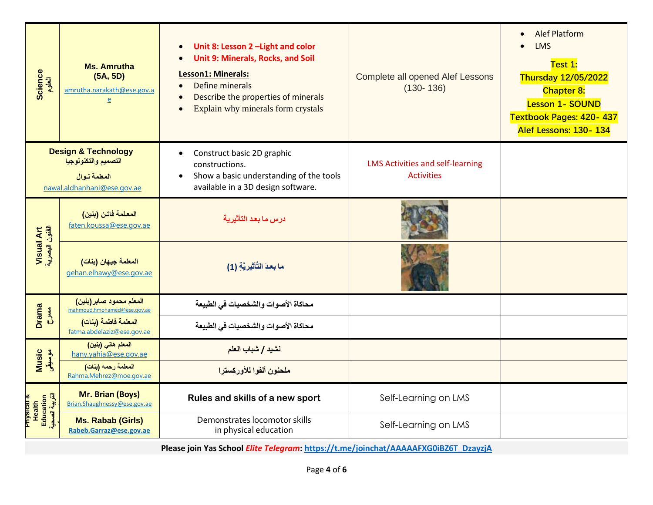| Science<br>العلوم                                       | <b>Ms. Amrutha</b><br>(5A, 5D)<br>amrutha.narakath@ese.gov.a<br>$\overline{e}$                        | Unit 8: Lesson 2 - Light and color<br>$\bullet$<br><b>Unit 9: Minerals, Rocks, and Soil</b><br>$\bullet$<br><b>Lesson1: Minerals:</b><br>Define minerals<br>$\bullet$<br>Describe the properties of minerals<br>Explain why minerals form crystals<br>$\bullet$ | <b>Complete all opened Alef Lessons</b><br>$(130 - 136)$     | <b>Alef Platform</b><br>$\bullet$<br><b>LMS</b><br>Test 1:<br><b>Thursday 12/05/2022</b><br><b>Chapter 8:</b><br><b>Lesson 1- SOUND</b><br><b>Textbook Pages: 420-437</b><br>Alef Lessons: 130-134 |
|---------------------------------------------------------|-------------------------------------------------------------------------------------------------------|-----------------------------------------------------------------------------------------------------------------------------------------------------------------------------------------------------------------------------------------------------------------|--------------------------------------------------------------|----------------------------------------------------------------------------------------------------------------------------------------------------------------------------------------------------|
|                                                         | <b>Design &amp; Technology</b><br>التصميم والتكنولوجيا<br>المعلمة نوال<br>nawal.aldhanhani@ese.gov.ae | Construct basic 2D graphic<br>$\bullet$<br>constructions.<br>Show a basic understanding of the tools<br>$\bullet$<br>available in a 3D design software.                                                                                                         | <b>LMS Activities and self-learning</b><br><b>Activities</b> |                                                                                                                                                                                                    |
|                                                         | المعلمة فاتن (بنين)<br>faten.koussa@ese.gov.ae                                                        | درس ما بعد التأثيرية                                                                                                                                                                                                                                            |                                                              |                                                                                                                                                                                                    |
| Visual Art<br>الفئون البصرية                            | المعلمة جيهان (بنات)<br>gehan.elhawy@ese.gov.ae                                                       | ما بعدَ التَّأْتُيريَّةِ (1)                                                                                                                                                                                                                                    |                                                              |                                                                                                                                                                                                    |
| Drama                                                   | المعلم محمود صابر (بنين)<br>mahmoud.hmohamed@ese.gov.ae                                               | محاكاة الأصوات والشخصيات في الطبيعة                                                                                                                                                                                                                             |                                                              |                                                                                                                                                                                                    |
| $\sum_{i=1}^{n}$                                        | المعلمة فاطمة (بنات)<br>fatma.abdelaziz@ese.gov.ae                                                    | محاكاة الأصوات والشخصيات في الطبيعة                                                                                                                                                                                                                             |                                                              |                                                                                                                                                                                                    |
|                                                         | المعلم هاني (بنين)<br>hany.yahia@ese.gov.ae                                                           | نشيد / شباب العلم                                                                                                                                                                                                                                               |                                                              |                                                                                                                                                                                                    |
| Music<br>موسیقی                                         | المعلمة رحمه (بنات)<br>Rahma.Mehrez@moe.gov.ae                                                        | ملحنون ألفوا للأوركسترا                                                                                                                                                                                                                                         |                                                              |                                                                                                                                                                                                    |
| Physical &<br>Health<br>Education<br>الصحي <sup>ة</sup> | <b>Mr. Brian (Boys)</b><br>Brian.Shaughnessy@ese.gov.ae                                               | Rules and skills of a new sport                                                                                                                                                                                                                                 | Self-Learning on LMS                                         |                                                                                                                                                                                                    |
|                                                         | <b>Ms. Rabab (Girls)</b><br>Rabeb.Garraz@ese.gov.ae                                                   | Demonstrates locomotor skills<br>in physical education                                                                                                                                                                                                          | Self-Learning on LMS                                         |                                                                                                                                                                                                    |

**Please join Yas School** *Elite Telegram***: [https://t.me/joinchat/AAAAAFXG0iBZ6T\\_DzayzjA](https://t.me/joinchat/AAAAAFXG0iBZ6T_DzayzjA)**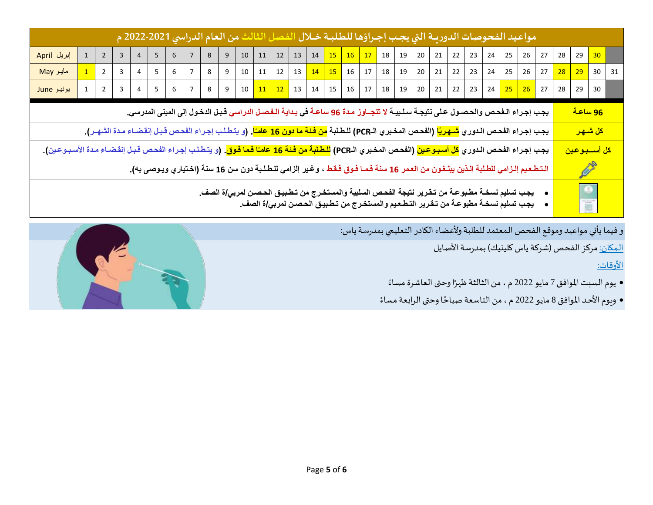|                                                                                                                                                                        |             |                |                         |                 |                 |                |                |   | مواعيد الفحوصات الدوريــة التي يجـب إجـراؤها للطلبــة خــلال الفصل الثالث من العام الدراسي 2021-2022 م                                                                                                              |              |  |  |  |  |                                                                                                           |  |  |  |                                               |                             |                      |  |
|------------------------------------------------------------------------------------------------------------------------------------------------------------------------|-------------|----------------|-------------------------|-----------------|-----------------|----------------|----------------|---|---------------------------------------------------------------------------------------------------------------------------------------------------------------------------------------------------------------------|--------------|--|--|--|--|-----------------------------------------------------------------------------------------------------------|--|--|--|-----------------------------------------------|-----------------------------|----------------------|--|
| إبريل April                                                                                                                                                            | $\mathbf 1$ | $\overline{2}$ |                         |                 | 6               |                |                | 9 |                                                                                                                                                                                                                     |              |  |  |  |  | 10   11   12   13   14 <mark>  15   16   17  </mark> 18   19   20   21   22   23   24   25   26   27   28 |  |  |  |                                               | 29                          | 30                   |  |
| مایو May                                                                                                                                                               |             | $\overline{2}$ | $\overline{3}$          | $5\overline{)}$ | $6\overline{6}$ | $\overline{7}$ | 8 <sup>1</sup> | 9 |                                                                                                                                                                                                                     | $10 \mid 11$ |  |  |  |  | $12 \mid 13 \mid 14 \mid 15 \mid 16 \mid 17 \mid 18 \mid 19 \mid 20 \mid 21 \mid 22 \mid 23 \mid$         |  |  |  | 24   25   26   27 <mark>  28   29  </mark> 30 |                             |                      |  |
| یونیو June                                                                                                                                                             |             | $\overline{2}$ | $\overline{\mathbf{3}}$ |                 |                 |                |                |   | 4 5 6 7 8 9 10 11 12 13 14 15 16 17 18 19 20 21 22 23 24 <mark>25 26</mark> 27 28                                                                                                                                   |              |  |  |  |  |                                                                                                           |  |  |  |                                               | 29                          | 30                   |  |
|                                                                                                                                                                        |             |                |                         |                 |                 |                |                |   | يجب إجراء الـفحص والحصول على نتيجـة سـلـبيـة لا تتجــاوز مـدة 96 ساعـة في بـداية الـفصـل الدراسي قبـل الدخول إلى المبنى المدرسي.                                                                                    |              |  |  |  |  |                                                                                                           |  |  |  |                                               | <u>96 ساعة</u>              |                      |  |
|                                                                                                                                                                        |             |                |                         |                 |                 |                |                |   | يجب إجراء الفحص الدوري <mark>شـهريًا</mark> (الفحص المخبري الـPCR) للطلبة <mark>من فئة ما دون 16 عامـًا</mark> . (و يتطلب إجراء الفحص قبل إنقضـاء مـدة الشهـر).                                                     |              |  |  |  |  |                                                                                                           |  |  |  |                                               |                             | <mark>كل شىھر</mark> |  |
| يجب إجراء الفحص الدوري <mark>كل أسبوعين</mark> (الفحص المخبري الـPCR) <mark>للطلبة من فنة 16 عامـًا فما فوق</mark> . (و يتطلب إجراء الفحص قبل إنقضـاء مدة الأسبـوعين). |             |                |                         |                 |                 |                |                |   |                                                                                                                                                                                                                     |              |  |  |  |  |                                                                                                           |  |  |  |                                               | <mark>كل أســـبـوعين</mark> |                      |  |
|                                                                                                                                                                        |             |                |                         |                 |                 |                |                |   | الـتـطـعـيم إلـزامي للطـلبة الـذين يبلـغـون من العـمر 16 سنـة فـمـا فـوق فـقـط ، و.غير إلزامي للـطـلـبة دون سن 16 سنـة (اخـتياري ويـوصى بـه).                                                                       |              |  |  |  |  |                                                                                                           |  |  |  |                                               |                             | Ø                    |  |
|                                                                                                                                                                        |             |                |                         |                 |                 |                |                |   | يجب تسليم نسخــة مطـبوـعــة من تــقـرير. نتيجـة الفحـص السلبيـة والمستخـرج من تـطـبيـق الحـصــن لمربـي/ة الصف.<br>يجـب تسليم نسخــة مطبوـعــة من تــقـرير. التـطـعـيم والمستخـرج من تـطـبيـق الحـصـن لمربـي/ة الصف. |              |  |  |  |  |                                                                                                           |  |  |  |                                               | $\bullet$<br>谕              |                      |  |

و فيما يأتي مواعيد وموقع الفحص المعتمد للطلبة ولأعضاء الكادر التعليمي بمدرسة ياس:

المكان: مركز الفحص (شركة ياس كلينيك) بمدرسة الأصايل

األوقات:

- يوم السبت الموافق 7 مايو 2022 م ، من الثالثة ظهرًا وحتى العاشرة مساءً ً
- ويوم الأحد الموافق 8 مايو 2022 م ، من التاسعة صباحًا وحتى الرابعة مساءً ً **:**